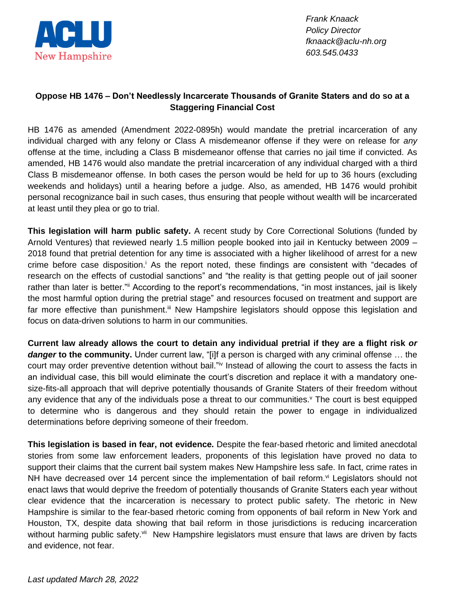

*Frank Knaack Policy Director fknaack@aclu-nh.org 603.545.0433*

## **Oppose HB 1476 – Don't Needlessly Incarcerate Thousands of Granite Staters and do so at a Staggering Financial Cost**

HB 1476 as amended (Amendment 2022-0895h) would mandate the pretrial incarceration of any individual charged with any felony or Class A misdemeanor offense if they were on release for *any* offense at the time, including a Class B misdemeanor offense that carries no jail time if convicted. As amended, HB 1476 would also mandate the pretrial incarceration of any individual charged with a third Class B misdemeanor offense. In both cases the person would be held for up to 36 hours (excluding weekends and holidays) until a hearing before a judge. Also, as amended, HB 1476 would prohibit personal recognizance bail in such cases, thus ensuring that people without wealth will be incarcerated at least until they plea or go to trial.

**This legislation will harm public safety.** A recent study by Core Correctional Solutions (funded by Arnold Ventures) that reviewed nearly 1.5 million people booked into jail in Kentucky between 2009 – 2018 found that pretrial detention for any time is associated with a higher likelihood of arrest for a new crime before case disposition.<sup>i</sup> As the report noted, these findings are consistent with "decades of research on the effects of custodial sanctions" and "the reality is that getting people out of jail sooner rather than later is better." According to the report's recommendations, "in most instances, jail is likely the most harmful option during the pretrial stage" and resources focused on treatment and support are far more effective than punishment.<sup>iii</sup> New Hampshire legislators should oppose this legislation and focus on data-driven solutions to harm in our communities.

**Current law already allows the court to detain any individual pretrial if they are a flight risk** *or danger* **to the community.** Under current law, "[i]f a person is charged with any criminal offense … the court may order preventive detention without bail."<sup>iv</sup> Instead of allowing the court to assess the facts in an individual case, this bill would eliminate the court's discretion and replace it with a mandatory onesize-fits-all approach that will deprive potentially thousands of Granite Staters of their freedom without any evidence that any of the individuals pose a threat to our communities.<sup>v</sup> The court is best equipped to determine who is dangerous and they should retain the power to engage in individualized determinations before depriving someone of their freedom.

**This legislation is based in fear, not evidence.** Despite the fear-based rhetoric and limited anecdotal stories from some law enforcement leaders, proponents of this legislation have proved no data to support their claims that the current bail system makes New Hampshire less safe. In fact, crime rates in NH have decreased over 14 percent since the implementation of bail reform.<sup>vi</sup> Legislators should not enact laws that would deprive the freedom of potentially thousands of Granite Staters each year without clear evidence that the incarceration is necessary to protect public safety. The rhetoric in New Hampshire is similar to the fear-based rhetoric coming from opponents of bail reform in New York and Houston, TX, despite data showing that bail reform in those jurisdictions is reducing incarceration without harming public safety.<sup>vii</sup> New Hampshire legislators must ensure that laws are driven by facts and evidence, not fear.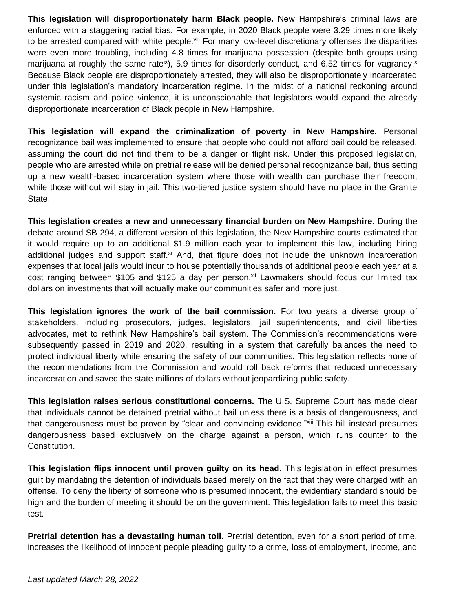**This legislation will disproportionately harm Black people.** New Hampshire's criminal laws are enforced with a staggering racial bias. For example, in 2020 Black people were 3.29 times more likely to be arrested compared with white people.<sup>viii</sup> For many low-level discretionary offenses the disparities were even more troubling, including 4.8 times for marijuana possession (despite both groups using marijuana at roughly the same rate<sup>ix</sup>), 5.9 times for disorderly conduct, and 6.52 times for vagrancy.<sup>x</sup> Because Black people are disproportionately arrested, they will also be disproportionately incarcerated under this legislation's mandatory incarceration regime. In the midst of a national reckoning around systemic racism and police violence, it is unconscionable that legislators would expand the already disproportionate incarceration of Black people in New Hampshire.

**This legislation will expand the criminalization of poverty in New Hampshire.** Personal recognizance bail was implemented to ensure that people who could not afford bail could be released, assuming the court did not find them to be a danger or flight risk. Under this proposed legislation, people who are arrested while on pretrial release will be denied personal recognizance bail, thus setting up a new wealth-based incarceration system where those with wealth can purchase their freedom, while those without will stay in jail. This two-tiered justice system should have no place in the Granite State.

**This legislation creates a new and unnecessary financial burden on New Hampshire**. During the debate around SB 294, a different version of this legislation, the New Hampshire courts estimated that it would require up to an additional \$1.9 million each year to implement this law, including hiring additional judges and support staff.<sup>xi</sup> And, that figure does not include the unknown incarceration expenses that local jails would incur to house potentially thousands of additional people each year at a cost ranging between \$105 and \$125 a day per person.<sup>xii</sup> Lawmakers should focus our limited tax dollars on investments that will actually make our communities safer and more just.

**This legislation ignores the work of the bail commission.** For two years a diverse group of stakeholders, including prosecutors, judges, legislators, jail superintendents, and civil liberties advocates, met to rethink New Hampshire's bail system. The Commission's recommendations were subsequently passed in 2019 and 2020, resulting in a system that carefully balances the need to protect individual liberty while ensuring the safety of our communities. This legislation reflects none of the recommendations from the Commission and would roll back reforms that reduced unnecessary incarceration and saved the state millions of dollars without jeopardizing public safety.

**This legislation raises serious constitutional concerns.** The U.S. Supreme Court has made clear that individuals cannot be detained pretrial without bail unless there is a basis of dangerousness, and that dangerousness must be proven by "clear and convincing evidence."<sup>xiii</sup> This bill instead presumes dangerousness based exclusively on the charge against a person, which runs counter to the Constitution.

**This legislation flips innocent until proven guilty on its head.** This legislation in effect presumes guilt by mandating the detention of individuals based merely on the fact that they were charged with an offense. To deny the liberty of someone who is presumed innocent, the evidentiary standard should be high and the burden of meeting it should be on the government. This legislation fails to meet this basic test.

**Pretrial detention has a devastating human toll.** Pretrial detention, even for a short period of time, increases the likelihood of innocent people pleading guilty to a crime, loss of employment, income, and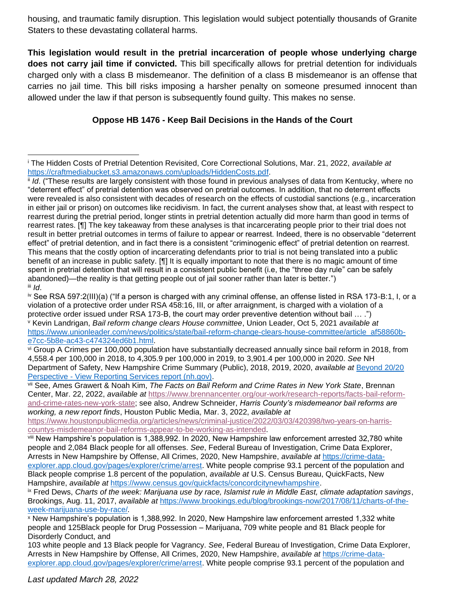housing, and traumatic family disruption. This legislation would subject potentially thousands of Granite Staters to these devastating collateral harms.

**This legislation would result in the pretrial incarceration of people whose underlying charge does not carry jail time if convicted.** This bill specifically allows for pretrial detention for individuals charged only with a class B misdemeanor. The definition of a class B misdemeanor is an offense that carries no jail time. This bill risks imposing a harsher penalty on someone presumed innocent than allowed under the law if that person is subsequently found guilty. This makes no sense.

## **Oppose HB 1476 - Keep Bail Decisions in the Hands of the Court**

<sup>i</sup> The Hidden Costs of Pretrial Detention Revisited, Core Correctional Solutions, Mar. 21, 2022, *available at* [https://craftmediabucket.s3.amazonaws.com/uploads/HiddenCosts.pdf.](https://craftmediabucket.s3.amazonaws.com/uploads/HiddenCosts.pdf)

ii *Id*. ("These results are largely consistent with those found in previous analyses of data from Kentucky, where no "deterrent effect" of pretrial detention was observed on pretrial outcomes. In addition, that no deterrent effects were revealed is also consistent with decades of research on the effects of custodial sanctions (e.g., incarceration in either jail or prison) on outcomes like recidivism. In fact, the current analyses show that, at least with respect to rearrest during the pretrial period, longer stints in pretrial detention actually did more harm than good in terms of rearrest rates. [¶] The key takeaway from these analyses is that incarcerating people prior to their trial does not result in better pretrial outcomes in terms of failure to appear or rearrest. Indeed, there is no observable "deterrent effect" of pretrial detention, and in fact there is a consistent "criminogenic effect" of pretrial detention on rearrest. This means that the costly option of incarcerating defendants prior to trial is not being translated into a public benefit of an increase in public safety. [¶] It is equally important to note that there is no magic amount of time spent in pretrial detention that will result in a consistent public benefit (i.e, the "three day rule" can be safely abandoned)—the reality is that getting people out of jail sooner rather than later is better.") iii *Id*.

iv See RSA 597:2(III)(a) ("If a person is charged with any criminal offense, an offense listed in RSA 173-B:1, I, or a violation of a protective order under RSA 458:16, III, or after arraignment, is charged with a violation of a protective order issued under RSA 173-B, the court may order preventive detention without bail … .") <sup>v</sup> Kevin Landrigan, *Bail reform change clears House committee*, Union Leader, Oct 5, 2021 *available at*  [https://www.unionleader.com/news/politics/state/bail-reform-change-clears-house-committee/article\\_af58860b](https://www.unionleader.com/news/politics/state/bail-reform-change-clears-house-committee/article_af58860b-e7cc-5b8e-ac43-c474324ed6b1.html)[e7cc-5b8e-ac43-c474324ed6b1.html.](https://www.unionleader.com/news/politics/state/bail-reform-change-clears-house-committee/article_af58860b-e7cc-5b8e-ac43-c474324ed6b1.html)

vi Group A Crimes per 100,000 population have substantially decreased annually since bail reform in 2018, from 4,558.4 per 100,000 in 2018, to 4,305.9 per 100,000 in 2019, to 3,901.4 per 100,000 in 2020. *See* NH Department of Safety, New Hampshire Crime Summary (Public), 2018, 2019, 2020, *available at* [Beyond 20/20](https://crimestats.dos.nh.gov/public/View/RSReport.aspx?ReportId=22)  Perspective - [View Reporting Services report \(nh.gov\).](https://crimestats.dos.nh.gov/public/View/RSReport.aspx?ReportId=22)

vii See, Ames Grawert & Noah Kim, *The Facts on Bail Reform and Crime Rates in New York State*, Brennan Center, Mar. 22, 2022, *available at* [https://www.brennancenter.org/our-work/research-reports/facts-bail-reform](https://www.brennancenter.org/our-work/research-reports/facts-bail-reform-and-crime-rates-new-york-state)[and-crime-rates-new-york-state;](https://www.brennancenter.org/our-work/research-reports/facts-bail-reform-and-crime-rates-new-york-state) see also, Andrew Schneider, *Harris County's misdemeanor bail reforms are working, a new report finds*, Houston Public Media, Mar. 3, 2022, *available at* 

[https://www.houstonpublicmedia.org/articles/news/criminal-justice/2022/03/03/420398/two-years-on-harris](https://www.houstonpublicmedia.org/articles/news/criminal-justice/2022/03/03/420398/two-years-on-harris-countys-misdemeanor-bail-reforms-appear-to-be-working-as-intended)[countys-misdemeanor-bail-reforms-appear-to-be-working-as-intended.](https://www.houstonpublicmedia.org/articles/news/criminal-justice/2022/03/03/420398/two-years-on-harris-countys-misdemeanor-bail-reforms-appear-to-be-working-as-intended)

viii New Hampshire's population is 1,388,992. In 2020, New Hampshire law enforcement arrested 32,780 white people and 2,084 Black people for all offenses. *See*, Federal Bureau of Investigation, Crime Data Explorer, Arrests in New Hampshire by Offense, All Crimes, 2020, New Hampshire, *available at* [https://crime-data](https://crime-data-explorer.app.cloud.gov/pages/explorer/crime/arrest)[explorer.app.cloud.gov/pages/explorer/crime/arrest.](https://crime-data-explorer.app.cloud.gov/pages/explorer/crime/arrest) White people comprise 93.1 percent of the population and Black people comprise 1.8 percent of the population, *available at* U.S. Census Bureau, QuickFacts, New Hampshire, *available at* [https://www.census.gov/quickfacts/concordcitynewhampshire.](https://www.census.gov/quickfacts/concordcitynewhampshire)

ix Fred Dews, *Charts of the week: Marijuana use by race, Islamist rule in Middle East, climate adaptation savings*, Brookings, Aug. 11, 2017, *available at* [https://www.brookings.edu/blog/brookings-now/2017/08/11/charts-of-the](https://www.brookings.edu/blog/brookings-now/2017/08/11/charts-of-the-week-marijuana-use-by-race/)[week-marijuana-use-by-race/](https://www.brookings.edu/blog/brookings-now/2017/08/11/charts-of-the-week-marijuana-use-by-race/)*.* 

<sup>x</sup> New Hampshire's population is 1,388,992. In 2020, New Hampshire law enforcement arrested 1,332 white people and 125Black people for Drug Possession – Marijuana, 709 white people and 81 Black people for Disorderly Conduct, and

<sup>103</sup> white people and 13 Black people for Vagrancy. *See*, Federal Bureau of Investigation, Crime Data Explorer, Arrests in New Hampshire by Offense, All Crimes, 2020, New Hampshire, *available at* [https://crime-data](https://crime-data-explorer.app.cloud.gov/pages/explorer/crime/arrest)[explorer.app.cloud.gov/pages/explorer/crime/arrest.](https://crime-data-explorer.app.cloud.gov/pages/explorer/crime/arrest) White people comprise 93.1 percent of the population and